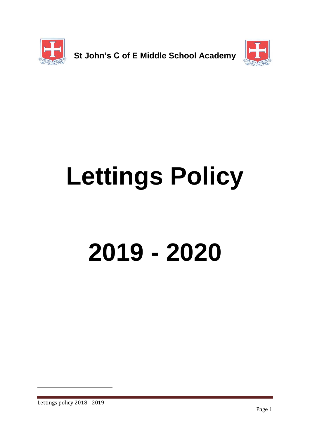



# **Lettings Policy**

## **2019 - 2020**

1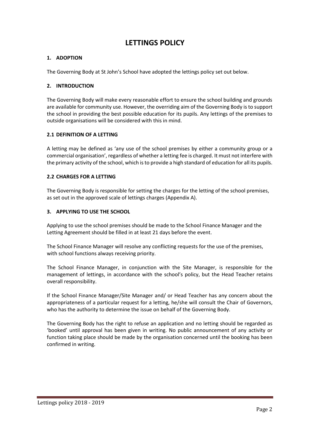#### **LETTINGS POLICY**

#### **1. ADOPTION**

The Governing Body at St John's School have adopted the lettings policy set out below.

#### **2. INTRODUCTION**

The Governing Body will make every reasonable effort to ensure the school building and grounds are available for community use. However, the overriding aim of the Governing Body is to support the school in providing the best possible education for its pupils. Any lettings of the premises to outside organisations will be considered with this in mind.

#### **2.1 DEFINITION OF A LETTING**

A letting may be defined as 'any use of the school premises by either a community group or a commercial organisation', regardless of whether a letting fee is charged. It must not interfere with the primary activity of the school, which is to provide a high standard of education for all its pupils.

#### **2.2 CHARGES FOR A LETTING**

The Governing Body is responsible for setting the charges for the letting of the school premises, as set out in the approved scale of lettings charges (Appendix A).

#### **3. APPLYING TO USE THE SCHOOL**

Applying to use the school premises should be made to the School Finance Manager and the Letting Agreement should be filled in at least 21 days before the event.

The School Finance Manager will resolve any conflicting requests for the use of the premises, with school functions always receiving priority.

The School Finance Manager, in conjunction with the Site Manager, is responsible for the management of lettings, in accordance with the school's policy, but the Head Teacher retains overall responsibility.

If the School Finance Manager/Site Manager and/ or Head Teacher has any concern about the appropriateness of a particular request for a letting, he/she will consult the Chair of Governors, who has the authority to determine the issue on behalf of the Governing Body.

The Governing Body has the right to refuse an application and no letting should be regarded as 'booked' until approval has been given in writing. No public announcement of any activity or function taking place should be made by the organisation concerned until the booking has been confirmed in writing.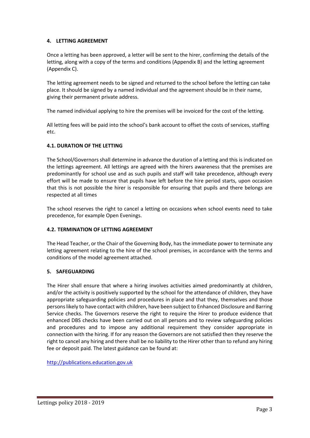#### **4. LETTING AGREEMENT**

Once a letting has been approved, a letter will be sent to the hirer, confirming the details of the letting, along with a copy of the terms and conditions (Appendix B) and the letting agreement (Appendix C).

The letting agreement needs to be signed and returned to the school before the letting can take place. It should be signed by a named individual and the agreement should be in their name, giving their permanent private address.

The named individual applying to hire the premises will be invoiced for the cost of the letting.

All letting fees will be paid into the school's bank account to offset the costs of services, staffing etc.

#### **4.1. DURATION OF THE LETTING**

The School/Governors shall determine in advance the duration of a letting and this is indicated on the lettings agreement. All lettings are agreed with the hirers awareness that the premises are predominantly for school use and as such pupils and staff will take precedence, although every effort will be made to ensure that pupils have left before the hire period starts, upon occasion that this is not possible the hirer is responsible for ensuring that pupils and there belongs are respected at all times

The school reserves the right to cancel a letting on occasions when school events need to take precedence, for example Open Evenings.

#### **4.2. TERMINATION OF LETTING AGREEMENT**

The Head Teacher, or the Chair of the Governing Body, has the immediate power to terminate any letting agreement relating to the hire of the school premises, in accordance with the terms and conditions of the model agreement attached.

#### **5. SAFEGUARDING**

The Hirer shall ensure that where a hiring involves activities aimed predominantly at children, and/or the activity is positively supported by the school for the attendance of children, they have appropriate safeguarding policies and procedures in place and that they, themselves and those persons likely to have contact with children, have been subject to Enhanced Disclosure and Barring Service checks. The Governors reserve the right to require the Hirer to produce evidence that enhanced DBS checks have been carried out on all persons and to review safeguarding policies and procedures and to impose any additional requirement they consider appropriate in connection with the hiring. If for any reason the Governors are not satisfied then they reserve the right to cancel any hiring and there shall be no liability to the Hirer other than to refund any hiring fee or deposit paid. The latest guidance can be found at:

[http://publications.education.gov.uk](http://publications.education.gov.uk/)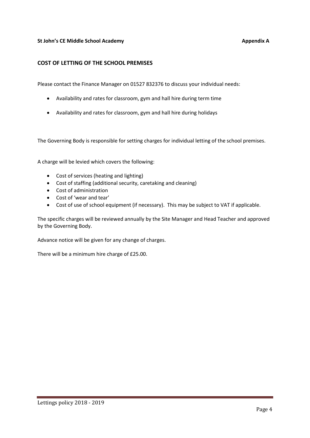#### **St John's CE Middle School Academy <b>Appendix A** Appendix A

#### **COST OF LETTING OF THE SCHOOL PREMISES**

Please contact the Finance Manager on 01527 832376 to discuss your individual needs:

- Availability and rates for classroom, gym and hall hire during term time
- Availability and rates for classroom, gym and hall hire during holidays

The Governing Body is responsible for setting charges for individual letting of the school premises.

A charge will be levied which covers the following:

- Cost of services (heating and lighting)
- Cost of staffing (additional security, caretaking and cleaning)
- Cost of administration
- Cost of 'wear and tear'
- Cost of use of school equipment (if necessary). This may be subject to VAT if applicable.

The specific charges will be reviewed annually by the Site Manager and Head Teacher and approved by the Governing Body.

Advance notice will be given for any change of charges.

There will be a minimum hire charge of £25.00.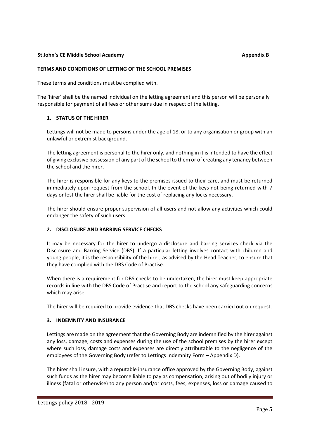#### **St John's CE Middle School Academy Appendix B** Appendix B

#### **TERMS AND CONDITIONS OF LETTING OF THE SCHOOL PREMISES**

These terms and conditions must be complied with.

The 'hirer' shall be the named individual on the letting agreement and this person will be personally responsible for payment of all fees or other sums due in respect of the letting.

#### **1. STATUS OF THE HIRER**

Lettings will not be made to persons under the age of 18, or to any organisation or group with an unlawful or extremist background.

The letting agreement is personal to the hirer only, and nothing in it is intended to have the effect of giving exclusive possession of any part of the school to them or of creating any tenancy between the school and the hirer.

The hirer is responsible for any keys to the premises issued to their care, and must be returned immediately upon request from the school. In the event of the keys not being returned with 7 days or lost the hirer shall be liable for the cost of replacing any locks necessary.

The hirer should ensure proper supervision of all users and not allow any activities which could endanger the safety of such users.

#### **2. DISCLOSURE AND BARRING SERVICE CHECKS**

It may be necessary for the hirer to undergo a disclosure and barring services check via the Disclosure and Barring Service (DBS). If a particular letting involves contact with children and young people, it is the responsibility of the hirer, as advised by the Head Teacher, to ensure that they have complied with the DBS Code of Practise.

When there is a requirement for DBS checks to be undertaken, the hirer must keep appropriate records in line with the DBS Code of Practise and report to the school any safeguarding concerns which may arise.

The hirer will be required to provide evidence that DBS checks have been carried out on request.

#### **3. INDEMNITY AND INSURANCE**

Lettings are made on the agreement that the Governing Body are indemnified by the hirer against any loss, damage, costs and expenses during the use of the school premises by the hirer except where such loss, damage costs and expenses are directly attributable to the negligence of the employees of the Governing Body (refer to Lettings Indemnity Form – Appendix D).

The hirer shall insure, with a reputable insurance office approved by the Governing Body, against such funds as the hirer may become liable to pay as compensation, arising out of bodily injury or illness (fatal or otherwise) to any person and/or costs, fees, expenses, loss or damage caused to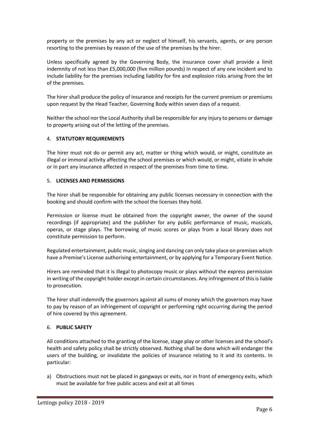property or the premises by any act or neglect of himself, his servants, agents, or any person resorting to the premises by reason of the use of the premises by the hirer.

Unless specifically agreed by the Governing Body, the insurance cover shall provide a limit indemnity of not less than £5,000,000 (five million pounds) in respect of any one incident and to include liability for the premises including liability for fire and explosion risks arising from the let of the premises.

The hirer shall produce the policy of insurance and receipts for the current premium or premiums upon request by the Head Teacher, Governing Body within seven days of a request.

Neither the school nor the Local Authority shall be responsible for any injury to persons or damage to property arising out of the letting of the premises.

#### 4. **STATUTORY REQUIREMENTS**

The hirer must not do or permit any act, matter or thing which would, or might, constitute an illegal or immoral activity affecting the school premises or which would, or might, vitiate in whole or in part any insurance affected in respect of the premises from time to time.

#### 5. **LICENSES AND PERMISSIONS**

The hirer shall be responsible for obtaining any public licenses necessary in connection with the booking and should confirm with the school the licenses they hold.

Permission or license must be obtained from the copyright owner, the owner of the sound recordings (if appropriate) and the publisher for any public performance of music, musicals, operas, or stage plays. The borrowing of music scores or plays from a local library does not constitute permission to perform.

Regulated entertainment, public music, singing and dancing can only take place on premises which have a Premise's License authorising entertainment, or by applying for a Temporary Event Notice.

Hirers are reminded that it is illegal to photocopy music or plays without the express permission in writing of the copyright holder except in certain circumstances. Any infringement of this is liable to prosecution.

The hirer shall indemnify the governors against all sums of money which the governors may have to pay by reason of an infringement of copyright or performing right occurring during the period of hire covered by this agreement.

#### 6. **PUBLIC SAFETY**

All conditions attached to the granting of the license, stage play or other licenses and the school's health and safety policy shall be strictly observed. Nothing shall be done which will endanger the users of the building, or invalidate the policies of insurance relating to it and its contents. In particular:

a) Obstructions must not be placed in gangways or exits, nor in front of emergency exits, which must be available for free public access and exit at all times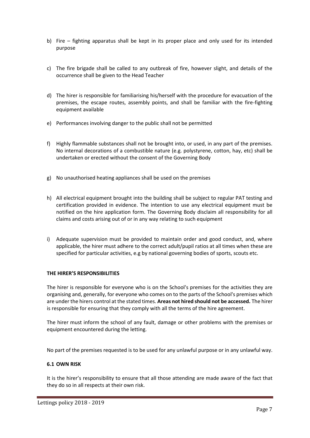- b) Fire fighting apparatus shall be kept in its proper place and only used for its intended purpose
- c) The fire brigade shall be called to any outbreak of fire, however slight, and details of the occurrence shall be given to the Head Teacher
- d) The hirer is responsible for familiarising his/herself with the procedure for evacuation of the premises, the escape routes, assembly points, and shall be familiar with the fire-fighting equipment available
- e) Performances involving danger to the public shall not be permitted
- f) Highly flammable substances shall not be brought into, or used, in any part of the premises. No internal decorations of a combustible nature (e.g. polystyrene, cotton, hay, etc) shall be undertaken or erected without the consent of the Governing Body
- g) No unauthorised heating appliances shall be used on the premises
- h) All electrical equipment brought into the building shall be subject to regular PAT testing and certification provided in evidence. The intention to use any electrical equipment must be notified on the hire application form. The Governing Body disclaim all responsibility for all claims and costs arising out of or in any way relating to such equipment
- i) Adequate supervision must be provided to maintain order and good conduct, and, where applicable, the hirer must adhere to the correct adult/pupil ratios at all times when these are specified for particular activities, e.g by national governing bodies of sports, scouts etc.

#### **THE HIRER'S RESPONSIBILITIES**

The hirer is responsible for everyone who is on the School's premises for the activities they are organising and, generally, for everyone who comes on to the parts of the School's premises which are under the hirers control at the stated times. **Areas not hired should not be accessed.** The hirer is responsible for ensuring that they comply with all the terms of the hire agreement.

The hirer must inform the school of any fault, damage or other problems with the premises or equipment encountered during the letting.

No part of the premises requested is to be used for any unlawful purpose or in any unlawful way.

#### **6.1 OWN RISK**

It is the hirer's responsibility to ensure that all those attending are made aware of the fact that they do so in all respects at their own risk.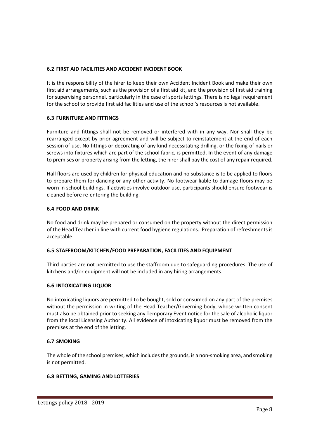#### **6.2 FIRST AID FACILITIES AND ACCIDENT INCIDENT BOOK**

It is the responsibility of the hirer to keep their own Accident Incident Book and make their own first aid arrangements, such as the provision of a first aid kit, and the provision of first aid training for supervising personnel, particularly in the case of sports lettings. There is no legal requirement for the school to provide first aid facilities and use of the school's resources is not available.

#### **6.3 FURNITURE AND FITTINGS**

Furniture and fittings shall not be removed or interfered with in any way. Nor shall they be rearranged except by prior agreement and will be subject to reinstatement at the end of each session of use. No fittings or decorating of any kind necessitating drilling, or the fixing of nails or screws into fixtures which are part of the school fabric, is permitted. In the event of any damage to premises or property arising from the letting, the hirer shall pay the cost of any repair required.

Hall floors are used by children for physical education and no substance is to be applied to floors to prepare them for dancing or any other activity. No footwear liable to damage floors may be worn in school buildings. If activities involve outdoor use, participants should ensure footwear is cleaned before re-entering the building.

#### **6.4 FOOD AND DRINK**

No food and drink may be prepared or consumed on the property without the direct permission of the Head Teacher in line with current food hygiene regulations. Preparation of refreshments is acceptable.

#### **6.5 STAFFROOM/KITCHEN/FOOD PREPARATION, FACILITIES AND EQUIPMENT**

Third parties are not permitted to use the staffroom due to safeguarding procedures. The use of kitchens and/or equipment will not be included in any hiring arrangements.

#### **6.6 INTOXICATING LIQUOR**

No intoxicating liquors are permitted to be bought, sold or consumed on any part of the premises without the permission in writing of the Head Teacher/Governing body, whose written consent must also be obtained prior to seeking any Temporary Event notice for the sale of alcoholic liquor from the local Licensing Authority. All evidence of intoxicating liquor must be removed from the premises at the end of the letting.

#### **6.7 SMOKING**

The whole of the school premises, which includes the grounds, is a non-smoking area, and smoking is not permitted.

#### **6.8 BETTING, GAMING AND LOTTERIES**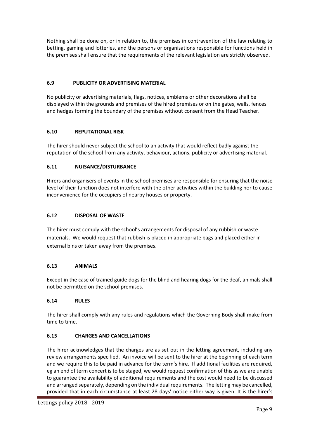Nothing shall be done on, or in relation to, the premises in contravention of the law relating to betting, gaming and lotteries, and the persons or organisations responsible for functions held in the premises shall ensure that the requirements of the relevant legislation are strictly observed.

#### **6.9 PUBLICITY OR ADVERTISING MATERIAL**

No publicity or advertising materials, flags, notices, emblems or other decorations shall be displayed within the grounds and premises of the hired premises or on the gates, walls, fences and hedges forming the boundary of the premises without consent from the Head Teacher.

#### **6.10 REPUTATIONAL RISK**

The hirer should never subject the school to an activity that would reflect badly against the reputation of the school from any activity, behaviour, actions, publicity or advertising material.

#### **6.11 NUISANCE/DISTURBANCE**

Hirers and organisers of events in the school premises are responsible for ensuring that the noise level of their function does not interfere with the other activities within the building nor to cause inconvenience for the occupiers of nearby houses or property.

#### **6.12 DISPOSAL OF WASTE**

The hirer must comply with the school's arrangements for disposal of any rubbish or waste materials. We would request that rubbish is placed in appropriate bags and placed either in external bins or taken away from the premises.

#### **6.13 ANIMALS**

Except in the case of trained guide dogs for the blind and hearing dogs for the deaf, animals shall not be permitted on the school premises.

#### **6.14 RULES**

The hirer shall comply with any rules and regulations which the Governing Body shall make from time to time.

#### **6.15 CHARGES AND CANCELLATIONS**

The hirer acknowledges that the charges are as set out in the letting agreement, including any review arrangements specified. An invoice will be sent to the hirer at the beginning of each term and we require this to be paid in advance for the term's hire. If additional facilities are required, eg an end of term concert is to be staged, we would request confirmation of this as we are unable to guarantee the availability of additional requirements and the cost would need to be discussed and arranged separately, depending on the individual requirements. The letting may be cancelled, provided that in each circumstance at least 28 days' notice either way is given. It is the hirer's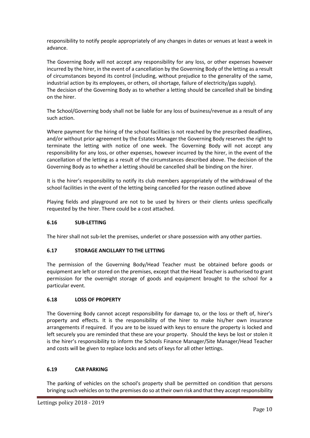responsibility to notify people appropriately of any changes in dates or venues at least a week in advance.

The Governing Body will not accept any responsibility for any loss, or other expenses however incurred by the hirer, in the event of a cancellation by the Governing Body of the letting as a result of circumstances beyond its control (including, without prejudice to the generality of the same, industrial action by its employees, or others, oil shortage, failure of electricity/gas supply). The decision of the Governing Body as to whether a letting should be cancelled shall be binding on the hirer.

The School/Governing body shall not be liable for any loss of business/revenue as a result of any such action.

Where payment for the hiring of the school facilities is not reached by the prescribed deadlines, and/or without prior agreement by the Estates Manager the Governing Body reserves the right to terminate the letting with notice of one week. The Governing Body will not accept any responsibility for any loss, or other expenses, however incurred by the hirer, in the event of the cancellation of the letting as a result of the circumstances described above. The decision of the Governing Body as to whether a letting should be cancelled shall be binding on the hirer.

It is the hirer's responsibility to notify its club members appropriately of the withdrawal of the school facilities in the event of the letting being cancelled for the reason outlined above

Playing fields and playground are not to be used by hirers or their clients unless specifically requested by the hirer. There could be a cost attached.

#### **6.16 SUB-LETTING**

The hirer shall not sub-let the premises, underlet or share possession with any other parties.

#### **6.17 STORAGE ANCILLARY TO THE LETTING**

The permission of the Governing Body/Head Teacher must be obtained before goods or equipment are left or stored on the premises, except that the Head Teacher is authorised to grant permission for the overnight storage of goods and equipment brought to the school for a particular event.

#### **6.18 LOSS OF PROPERTY**

The Governing Body cannot accept responsibility for damage to, or the loss or theft of, hirer's property and effects. It is the responsibility of the hirer to make his/her own insurance arrangements if required. If you are to be issued with keys to ensure the property is locked and left securely you are reminded that these are your property. Should the keys be lost or stolen it is the hirer's responsibility to inform the Schools Finance Manager/Site Manager/Head Teacher and costs will be given to replace locks and sets of keys for all other lettings.

#### **6.19 CAR PARKING**

The parking of vehicles on the school's property shall be permitted on condition that persons bringing such vehicles on to the premises do so at their own risk and that they accept responsibility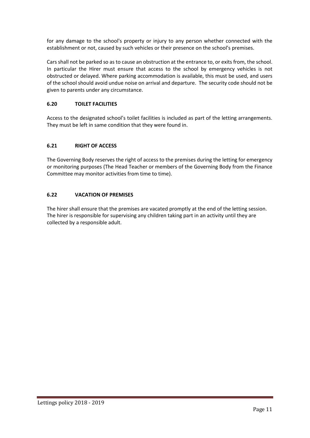for any damage to the school's property or injury to any person whether connected with the establishment or not, caused by such vehicles or their presence on the school's premises.

Cars shall not be parked so as to cause an obstruction at the entrance to, or exits from, the school. In particular the Hirer must ensure that access to the school by emergency vehicles is not obstructed or delayed. Where parking accommodation is available, this must be used, and users of the school should avoid undue noise on arrival and departure. The security code should not be given to parents under any circumstance.

#### **6.20 TOILET FACILITIES**

Access to the designated school's toilet facilities is included as part of the letting arrangements. They must be left in same condition that they were found in.

#### **6.21 RIGHT OF ACCESS**

The Governing Body reserves the right of access to the premises during the letting for emergency or monitoring purposes (The Head Teacher or members of the Governing Body from the Finance Committee may monitor activities from time to time).

#### **6.22 VACATION OF PREMISES**

The hirer shall ensure that the premises are vacated promptly at the end of the letting session. The hirer is responsible for supervising any children taking part in an activity until they are collected by a responsible adult.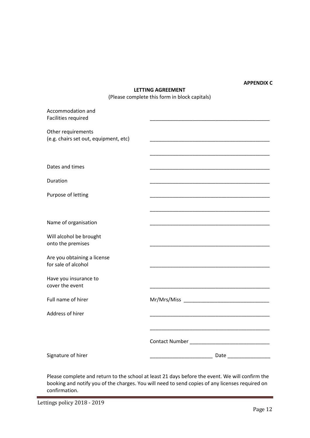#### **APPENDIX C**

#### **LETTING AGREEMENT**

(Please complete this form in block capitals)

| Accommodation and<br>Facilities required                    |  |
|-------------------------------------------------------------|--|
| Other requirements<br>(e.g. chairs set out, equipment, etc) |  |
|                                                             |  |
| Dates and times                                             |  |
| Duration                                                    |  |
| Purpose of letting                                          |  |
|                                                             |  |
| Name of organisation                                        |  |
| Will alcohol be brought<br>onto the premises                |  |
| Are you obtaining a license<br>for sale of alcohol          |  |
| Have you insurance to<br>cover the event                    |  |
| Full name of hirer                                          |  |
| Address of hirer                                            |  |
|                                                             |  |
|                                                             |  |
| Signature of hirer                                          |  |
|                                                             |  |

Please complete and return to the school at least 21 days before the event. We will confirm the booking and notify you of the charges. You will need to send copies of any licenses required on confirmation.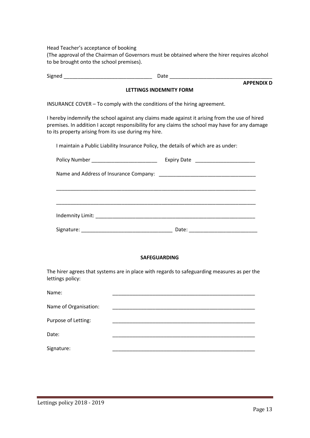Head Teacher's acceptance of booking

(The approval of the Chairman of Governors must be obtained where the hirer requires alcohol to be brought onto the school premises).

Signed \_\_\_\_\_\_\_\_\_\_\_\_\_\_\_\_\_\_\_\_\_\_\_\_\_\_\_\_\_\_\_ Date \_\_\_\_\_\_\_\_\_\_\_\_\_\_\_\_\_\_\_\_\_\_\_\_\_\_\_\_\_\_\_\_\_\_\_\_ **APPENDIX D LETTINGS INDEMNITY FORM** INSURANCE COVER – To comply with the conditions of the hiring agreement. I hereby indemnify the school against any claims made against it arising from the use of hired premises. In addition I accept responsibility for any claims the school may have for any damage to its property arising from its use during my hire. I maintain a Public Liability Insurance Policy, the details of which are as under: Policy Number \_\_\_\_\_\_\_\_\_\_\_\_\_\_\_\_\_\_\_\_\_\_\_ Expiry Date \_\_\_\_\_\_\_\_\_\_\_\_\_\_\_\_\_\_\_\_\_ Name and Address of Insurance Company:  $\Box$ \_\_\_\_\_\_\_\_\_\_\_\_\_\_\_\_\_\_\_\_\_\_\_\_\_\_\_\_\_\_\_\_\_\_\_\_\_\_\_\_\_\_\_\_\_\_\_\_\_\_\_\_\_\_\_\_\_\_\_\_\_\_\_\_\_\_\_\_\_\_ \_\_\_\_\_\_\_\_\_\_\_\_\_\_\_\_\_\_\_\_\_\_\_\_\_\_\_\_\_\_\_\_\_\_\_\_\_\_\_\_\_\_\_\_\_\_\_\_\_\_\_\_\_\_\_\_\_\_\_\_\_\_\_\_\_\_\_\_\_\_ Indemnity Limit: \_\_\_\_\_\_\_\_\_\_\_\_\_\_\_\_\_\_\_\_\_\_\_\_\_\_\_\_\_\_\_\_\_\_\_\_\_\_\_\_\_\_\_\_\_\_\_\_\_\_\_\_\_\_\_\_ Signature: \_\_\_\_\_\_\_\_\_\_\_\_\_\_\_\_\_\_\_\_\_\_\_\_\_\_\_\_\_\_\_\_ Date: \_\_\_\_\_\_\_\_\_\_\_\_\_\_\_\_\_\_\_\_\_\_\_\_

#### **SAFEGUARDING**

The hirer agrees that systems are in place with regards to safeguarding measures as per the lettings policy:

| Name:                 |  |
|-----------------------|--|
| Name of Organisation: |  |
| Purpose of Letting:   |  |
| Date:                 |  |
| Signature:            |  |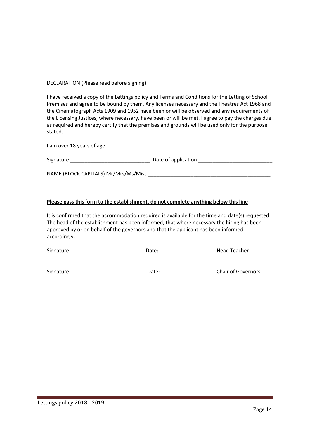DECLARATION (Please read before signing)

I have received a copy of the Lettings policy and Terms and Conditions for the Letting of School Premises and agree to be bound by them. Any licenses necessary and the Theatres Act 1968 and the Cinematograph Acts 1909 and 1952 have been or will be observed and any requirements of the Licensing Justices, where necessary, have been or will be met. I agree to pay the charges due as required and hereby certify that the premises and grounds will be used only for the purpose stated.

I am over 18 years of age.

| Signature | Date of application |  |
|-----------|---------------------|--|
|           |                     |  |

NAME (BLOCK CAPITALS) Mr/Mrs/Ms/Miss

#### **Please pass this form to the establishment, do not complete anything below this line**

It is confirmed that the accommodation required is available for the time and date(s) requested. The head of the establishment has been informed, that where necessary the hiring has been approved by or on behalf of the governors and that the applicant has been informed accordingly.

Signature: etc. All and the Date: the Date: the Head Teacher

Signature: etc. All and the Date: the Date: the Chair of Governors chair of Governors